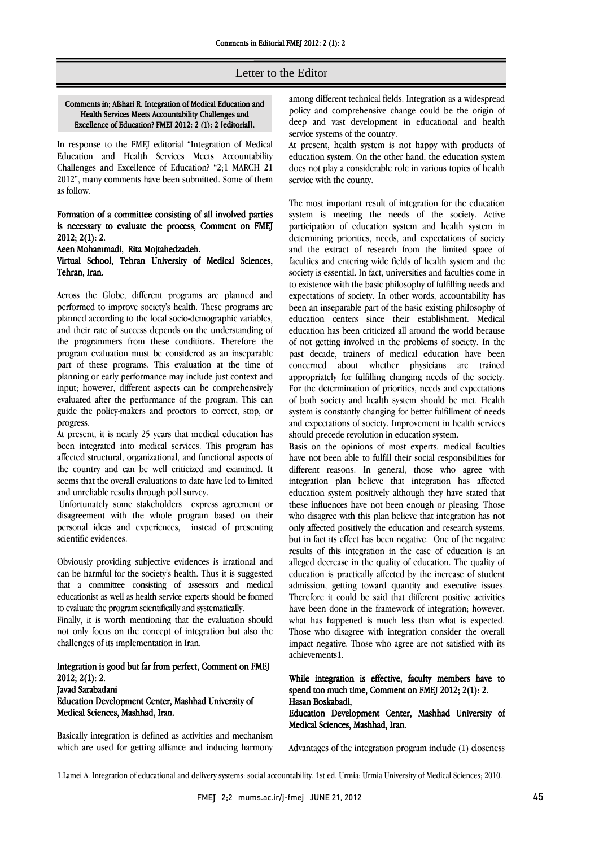# Ī Letter to the Editor

### Comments in; Afshari R. Integration of Medical Education and Health Services Meets Accountability Challenges and Excellence of Education? FMEJ 2012: 2 (1): 2 [editorial].

 In response to the FMEJ editorial "Integration of Medical Education and Health Services Meets Accountability Challenges and Excellence of Education? "2;1 MARCH 21 2012", many comments have been submitted. Some of them as follow.

# Formation of a committee consisting of all involved parties is necessary to evaluate the process, Comment on FMEJ 2012; 2(1): 2.

Aeen Mohammadi, Rita Mojtahedzadeh.

### Virtual School, Tehran University of Medical Sciences, Tehran, Iran.

 Across the Globe, different programs are planned and performed to improve society's health. These programs are and their rate of success depends on the understanding of the programmers from these conditions. Therefore the program evaluation must be considered as an inseparable part of these programs. This evaluation at the time of input; however, different aspects can be comprehensively evaluated after the performance of the program, This can guide the policy-makers and proctors to correct, stop, or planned according to the local socio-demographic variables, planning or early performance may include just context and progress.

progress.<br>At present, it is nearly 25 years that medical education has been integrated into medical services. This program has affected structural, organizational, and functional aspects of the country and can be well criticized and examined. It seems that the overall evaluations to date have led to limited and unreliable results through poll survey.

 Unfortunately some stakeholders express agreement or disagreement with the whole program based on their personal ideas and experiences, instead of presenting scientific evidences.

 Obviously providing subjective evidences is irrational and can be harmful for the society's health. Thus it is suggested that a committee consisting of assessors and medical educationist as well as health service experts should be formed to evaluate the program scientifically and systematically.

 Finally, it is worth mentioning that the evaluation should not only focus on the concept of integration but also the challenges of its implementation in Iran.

### l Integration is good but far from perfect, Comment on FMEJ<br>2012-2(1)-2 2012; 2(1): 2. Javad Sarabadani Education Development Center, Mashhad University of Medical Sciences, Mashhad, Iran.

 Basically integration is defined as activities and mechanism which are used for getting alliance and inducing harmony

 among different technical fields. Integration as a widespread policy and comprehensive change could be the origin of deep and vast development in educational and health service systems of the country.

Ī

 At present, health system is not happy with products of ں<br>1 education system. On the other hand, the education system does not play a considerable role in various topics of health service with the county.

 The most important result of integration for the education participation of education system and health system in determining priorities, needs, and expectations of society and the extract of research from the limited space of faculties and entering wide fields of health system and the to existence with the basic philosophy of fulfilling needs and expectations of society. In other words, accountability has been an inseparable part of the basic existing philosophy of education centers since their establishment. Medical of not getting involved in the problems of society. In the past decade, trainers of medical education have been concerned about whether physicians are trained concerned about whether physicians are trainedappropriately for fulfilling changing needs of the society. of both society and health system should be met. Health system is constantly changing for better fulfillment of needs and expectations of society. Improvement in health services system is meeting the needs of the society. Active society is essential. In fact, universities and faculties come in education has been criticized all around the world because For the determination of priorities, needs and expectations should precede revolution in education system.

snould precede revolution in education system.<br>Basis on the opinions of most experts, medical faculties have not been able to fulfill their social responsibilities for different reasons. In general, those who agree with integration plan believe that integration has affected education system positively although they have stated that who disagree with this plan believe that integration has not only affected positively the education and research systems, but in fact its effect has been negative. One of the negative but in fact its effect has been negative. One of the negative results of this integration in the case of education is an education is practically affected by the increase of student admission, getting toward quantity and executive issues. Therefore it could be said that different positive activities have been done in the framework of integration; however, Those who disagree with integration consider the overall impact negative. Those who agree are not satisfied with its these influences have not been enough or pleasing. Those alleged decrease in the quality of education. The quality of what has happened is much less than what is expected. achievements1.

## While integration is effective, faculty members have to speed too much time Comment on  $EME12012.2(1)$ . spend too much time, Comment on FMEJ 2012; 2(1): 2. Hasan Boskabadi,

 Education Development Center, Mashhad University of Medical Sciences, Mashhad, Iran.

Advantages of the integration program include (1) closeness

<sup>1.</sup>Lamei A. Integration of educational and delivery systems: social accountability. 1st ed. Urmia: Urmia University of Medical Sciences; 2010.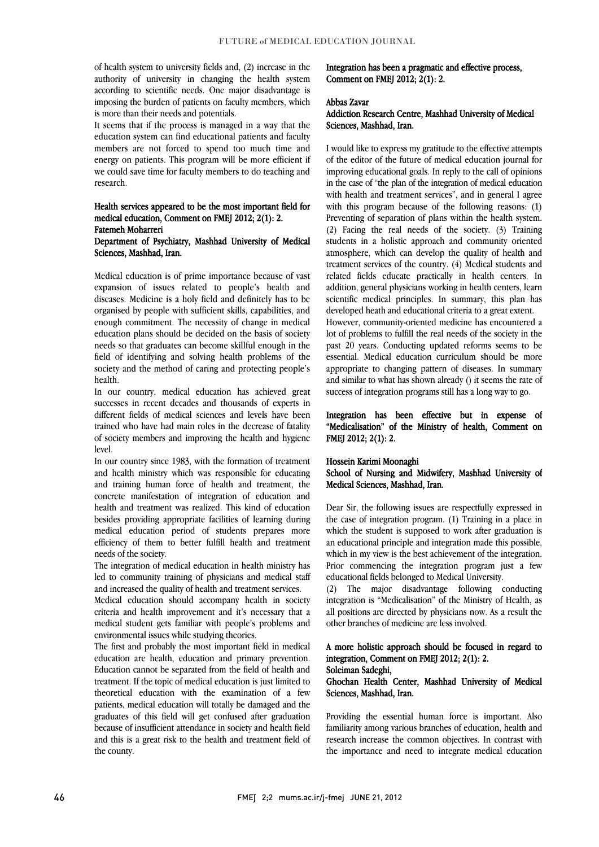of health system to university fields and, (2) increase in the authority of university in changing the health system according to scientific needs. One major disadvantage is imposing the burden of patients on faculty members, which is more than their needs and potentials.

 It seems that if the process is managed in a way that the education system can find educational patients and faculty members are not forced to spend too much time and energy on patients. This program will be more efficient if we could save time for faculty members to do teaching and research.

#### Health services appeared to be the most important field for medical education, Comment on FMEJ 2012; 2(1): 2. Fatemeh Moharreri

# Department of Psychiatry, Mashhad University of Medical Sciences, Mashhad, Iran.

 Medical education is of prime importance because of vast diseases. Medicine is a holy field and definitely has to be organised by people with sufficient skills, capabilities, and enough commitment. The necessity of change in medical needs so that graduates can become skillful enough in the field of identifying and solving health problems of the society and the method of caring and protecting people's expansion of issues related to people's health and education plans should be decided on the basis of society health.

successes in recent decades and thousands of experts in different fields of medical sciences and levels have been trained who have had main roles in the decrease of fatality of society members and improving the health and hygiene In our country, medical education has achieved great level.

 In our country since 1983, with the formation of treatment and health ministry which was responsible for educating and training human force of health and treatment, the concrete manifestation of integration of education and besides providing appropriate facilities of learning during medical education period of students prepares more efficiency of them to better fulfill health and treatment health and treatment was realized. This kind of education needs of the society.

neeas of the society.<br>The integration of medical education in health ministry has led to community training of physicians and medical staff and increased the quality of health and treatment services.

 Medical education should accompany health in society criteria and health improvement and it's necessary that a medical student gets familiar with people's problems and environmental issues while studying theories.

 The first and probably the most important field in medical education are health, education and primary prevention. Education cannot be separated from the field of health and theoretical education with the examination of a few patients, medical education will totally be damaged and the graduates of this field will get confused after graduation because of insufficient attendance in society and health field and this is a great risk to the health and treatment field of treatment. If the topic of medical education is just limited to the county.

Integration has been a pragmatic and effective process, Comment on FMEJ 2012; 2(1): 2.

#### Abbas Zavar

## Addiction Research Centre, Mashhad University of Medical Sciences, Mashhad, Iran.

 I would like to express my gratitude to the effective attempts of the editor of the future of medical education journal for in the case of "the plan of the integration of medical education with health and treatment services", and in general I agree with this program because of the following reasons: (1) (2) Facing the real needs of the society. (3) Training students in a holistic approach and community oriented atmosphere, which can develop the quality of health and treatment services of the country. (4) Medical students and related fields educate practically in health centers. In scientific medical principles. In summary, this plan has improving educational goals. In reply to the call of opinions Preventing of separation of plans within the health system. addition, general physicians working in health centers, learn developed heath and educational criteria to a great extent.

 However, community-oriented medicine has encountered a past 20 years. Conducting updated reforms seems to be essential. Medical education curriculum should be more appropriate to changing pattern of diseases. In summary and similar to what has shown already () it seems the rate of lot of problems to fulfill the real needs of the society in the success of integration programs still has a long way to go.

 Integration has been effective but in expense of "Medicalisation" of the Ministry of health, Comment on FMEJ 2012; 2(1): 2.

### Hossein Karimi Moonaghi

 School of Nursing and Midwifery, Mashhad University of Medical Sciences, Mashhad, Iran.

 the case of integration program. (1) Training in a place in which the student is supposed to work after graduation is an educational principle and integration made this possible, which in my view is the best achievement of the integration. Prior commencing the integration program just a few Dear Sir, the following issues are respectfully expressed in educational fields belonged to Medical University.

 (2) The major disadvantage following conducting integration is "Medicalisation" of the Ministry of Health, as all positions are directed by physicians now. As a result the other branches of medicine are less involved.

# A more holistic approach should be focused in regard to integration, Comment on FMEJ 2012; 2(1): 2.

# Soleiman Sadeghi,

### Ghochan Health Center, Mashhad University of Medical Sciences, Mashhad, Iran.

 Providing the essential human force is important. Also familiarity among various branches of education, health and the importance and need to integrate medical educationresearch increase the common objectives. In contrast with